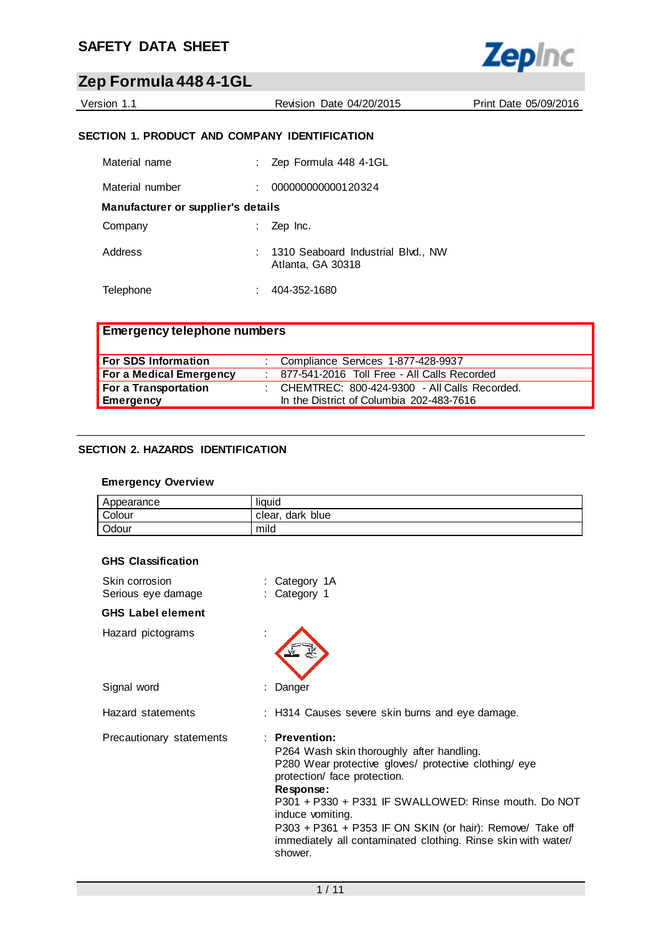

| Version 1.1 |  |
|-------------|--|
|-------------|--|

Revision Date 04/20/2015 Print Date 05/09/2016

## **SECTION 1. PRODUCT AND COMPANY IDENTIFICATION**

| Material name                      | Zep Formula 448 4-1GL                                   |
|------------------------------------|---------------------------------------------------------|
| Material number                    | 000000000000120324                                      |
| Manufacturer or supplier's details |                                                         |
| Company                            | Zep Inc.                                                |
| Address                            | 1310 Seaboard Industrial Blvd., NW<br>Atlanta, GA 30318 |
| Telephone                          | 404-352-1680                                            |

| <b>Emergency telephone numbers</b> |                                                |
|------------------------------------|------------------------------------------------|
| <b>For SDS Information</b>         | : Compliance Services 1-877-428-9937           |
| <b>For a Medical Emergency</b>     | : 877-541-2016 Toll Free - All Calls Recorded  |
| For a Transportation               | : CHEMTREC: 800-424-9300 - All Calls Recorded. |
| <b>Emergency</b>                   | In the District of Columbia 202-483-7616       |

## **SECTION 2. HAZARDS IDENTIFICATION**

## **Emergency Overview**

| Appearance | liauid              |
|------------|---------------------|
| Colour     | dark blue<br>clear, |
| Odour      | mild                |

#### **GHS Classification**

| Skin corrosion<br>Serious eye damage | : Category 1A<br>: Category 1                                                                                                                                                                                                                                                                                                                                                           |
|--------------------------------------|-----------------------------------------------------------------------------------------------------------------------------------------------------------------------------------------------------------------------------------------------------------------------------------------------------------------------------------------------------------------------------------------|
| <b>GHS</b> Label element             |                                                                                                                                                                                                                                                                                                                                                                                         |
| Hazard pictograms                    |                                                                                                                                                                                                                                                                                                                                                                                         |
| Signal word                          | : Danger                                                                                                                                                                                                                                                                                                                                                                                |
| Hazard statements                    | : H314 Causes severe skin burns and eye damage.                                                                                                                                                                                                                                                                                                                                         |
| Precautionary statements             | $:$ Prevention:<br>P264 Wash skin thoroughly after handling.<br>P280 Wear protective gloves/ protective clothing/ eye<br>protection/ face protection.<br>Response:<br>P301 + P330 + P331 IF SWALLOWED: Rinse mouth. Do NOT<br>induce vomiting.<br>P303 + P361 + P353 IF ON SKIN (or hair): Remove/ Take off<br>immediately all contaminated clothing. Rinse skin with water/<br>shower. |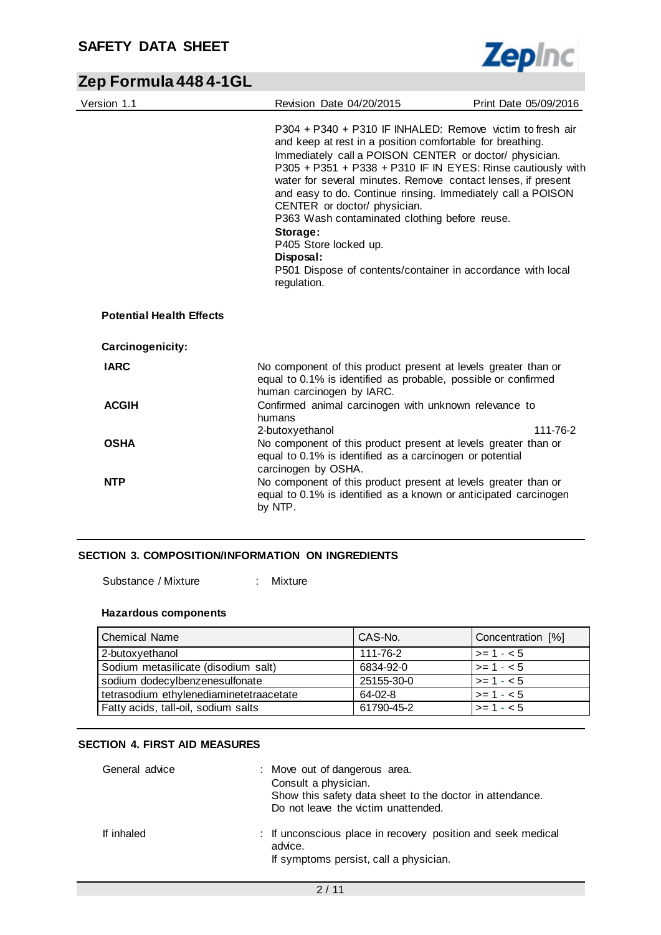$\overline{\phantom{0}}$ 



# **Zep Formula 448 4-1GL**

| Version 1.1                     | Revision Date 04/20/2015                                                                                                                                                                                                                                                                                                                                                                                                                                                                                                                                                                        | Print Date 05/09/2016 |
|---------------------------------|-------------------------------------------------------------------------------------------------------------------------------------------------------------------------------------------------------------------------------------------------------------------------------------------------------------------------------------------------------------------------------------------------------------------------------------------------------------------------------------------------------------------------------------------------------------------------------------------------|-----------------------|
|                                 | P304 + P340 + P310 IF INHALED: Remove victim to fresh air<br>and keep at rest in a position comfortable for breathing.<br>Immediately call a POISON CENTER or doctor/ physician.<br>P305 + P351 + P338 + P310 IF IN EYES: Rinse cautiously with<br>water for several minutes. Remove contact lenses, if present<br>and easy to do. Continue rinsing. Immediately call a POISON<br>CENTER or doctor/ physician.<br>P363 Wash contaminated clothing before reuse.<br>Storage:<br>P405 Store locked up.<br>Disposal:<br>P501 Dispose of contents/container in accordance with local<br>regulation. |                       |
| <b>Potential Health Effects</b> |                                                                                                                                                                                                                                                                                                                                                                                                                                                                                                                                                                                                 |                       |
| Carcinogenicity:                |                                                                                                                                                                                                                                                                                                                                                                                                                                                                                                                                                                                                 |                       |
| <b>IARC</b>                     | No component of this product present at levels greater than or<br>equal to 0.1% is identified as probable, possible or confirmed<br>human carcinogen by IARC.                                                                                                                                                                                                                                                                                                                                                                                                                                   |                       |
| <b>ACGIH</b>                    | Confirmed animal carcinogen with unknown relevance to<br>humans                                                                                                                                                                                                                                                                                                                                                                                                                                                                                                                                 |                       |
| <b>OSHA</b>                     | 2-butoxyethanol<br>No component of this product present at levels greater than or<br>equal to 0.1% is identified as a carcinogen or potential<br>carcinogen by OSHA.                                                                                                                                                                                                                                                                                                                                                                                                                            | 111-76-2              |
| <b>NTP</b>                      | No component of this product present at levels greater than or<br>equal to 0.1% is identified as a known or anticipated carcinogen<br>by NTP.                                                                                                                                                                                                                                                                                                                                                                                                                                                   |                       |

## **SECTION 3. COMPOSITION/INFORMATION ON INGREDIENTS**

Substance / Mixture : Mixture

#### **Hazardous components**

| <b>Chemical Name</b>                    | CAS-No.    | Concentration [%]  |
|-----------------------------------------|------------|--------------------|
| 2-butoxyethanol                         | 111-76-2   | $ >= 1 - < 5$      |
| Sodium metasilicate (disodium salt)     | 6834-92-0  | $\vert$ >= 1 - < 5 |
| sodium dodecylbenzenesulfonate          | 25155-30-0 | $\vert$ >= 1 - < 5 |
| tetrasodium ethylenediaminetetraacetate | $64-02-8$  | $\ge$ - 1 - < 5    |
| Fatty acids, tall-oil, sodium salts     | 61790-45-2 | $\vert$ >= 1 - < 5 |

#### **SECTION 4. FIRST AID MEASURES**

| General advice | : Move out of dangerous area.<br>Consult a physician.<br>Show this safety data sheet to the doctor in attendance.<br>Do not leave the victim unattended. |
|----------------|----------------------------------------------------------------------------------------------------------------------------------------------------------|
| If inhaled     | : If unconscious place in recovery position and seek medical<br>advice.<br>If symptoms persist, call a physician.                                        |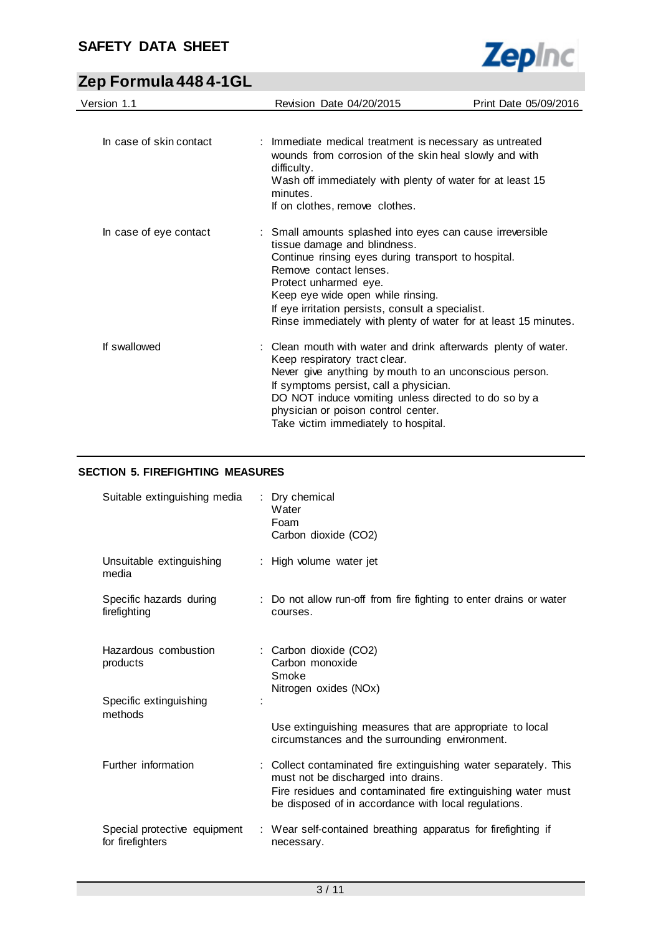

# **Zep Formula 448 4-1GL**

| Version 1.1             | Revision Date 04/20/2015                                                                                                                                                                                                                                                                                                                                         | Print Date 05/09/2016 |
|-------------------------|------------------------------------------------------------------------------------------------------------------------------------------------------------------------------------------------------------------------------------------------------------------------------------------------------------------------------------------------------------------|-----------------------|
|                         |                                                                                                                                                                                                                                                                                                                                                                  |                       |
| In case of skin contact | : Immediate medical treatment is necessary as untreated<br>wounds from corrosion of the skin heal slowly and with<br>difficulty.<br>Wash off immediately with plenty of water for at least 15<br>minutes.<br>If on clothes, remove clothes.                                                                                                                      |                       |
| In case of eye contact  | : Small amounts splashed into eyes can cause irreversible<br>tissue damage and blindness.<br>Continue rinsing eyes during transport to hospital.<br>Remove contact lenses.<br>Protect unharmed eye.<br>Keep eye wide open while rinsing.<br>If eye irritation persists, consult a specialist.<br>Rinse immediately with plenty of water for at least 15 minutes. |                       |
| If swallowed            | : Clean mouth with water and drink afterwards plenty of water.<br>Keep respiratory tract clear.<br>Never give anything by mouth to an unconscious person.<br>If symptoms persist, call a physician.<br>DO NOT induce vomiting unless directed to do so by a<br>physician or poison control center.<br>Take victim immediately to hospital.                       |                       |

## **SECTION 5. FIREFIGHTING MEASURES**

| Suitable extinguishing media                     | Dry chemical<br>Water<br>Foam<br>Carbon dioxide (CO2)                                                                                                                                                                           |
|--------------------------------------------------|---------------------------------------------------------------------------------------------------------------------------------------------------------------------------------------------------------------------------------|
| Unsuitable extinguishing<br>media                | : High volume water jet                                                                                                                                                                                                         |
| Specific hazards during<br>firefighting          | : Do not allow run-off from fire fighting to enter drains or water<br>courses.                                                                                                                                                  |
| Hazardous combustion<br>products                 | : Carbon dioxide (CO2)<br>Carbon monoxide<br>Smoke<br>Nitrogen oxides (NOx)                                                                                                                                                     |
| Specific extinguishing<br>methods                |                                                                                                                                                                                                                                 |
|                                                  | Use extinguishing measures that are appropriate to local<br>circumstances and the surrounding environment.                                                                                                                      |
| Further information                              | : Collect contaminated fire extinguishing water separately. This<br>must not be discharged into drains.<br>Fire residues and contaminated fire extinguishing water must<br>be disposed of in accordance with local regulations. |
| Special protective equipment<br>for firefighters | : Wear self-contained breathing apparatus for firefighting if<br>necessary.                                                                                                                                                     |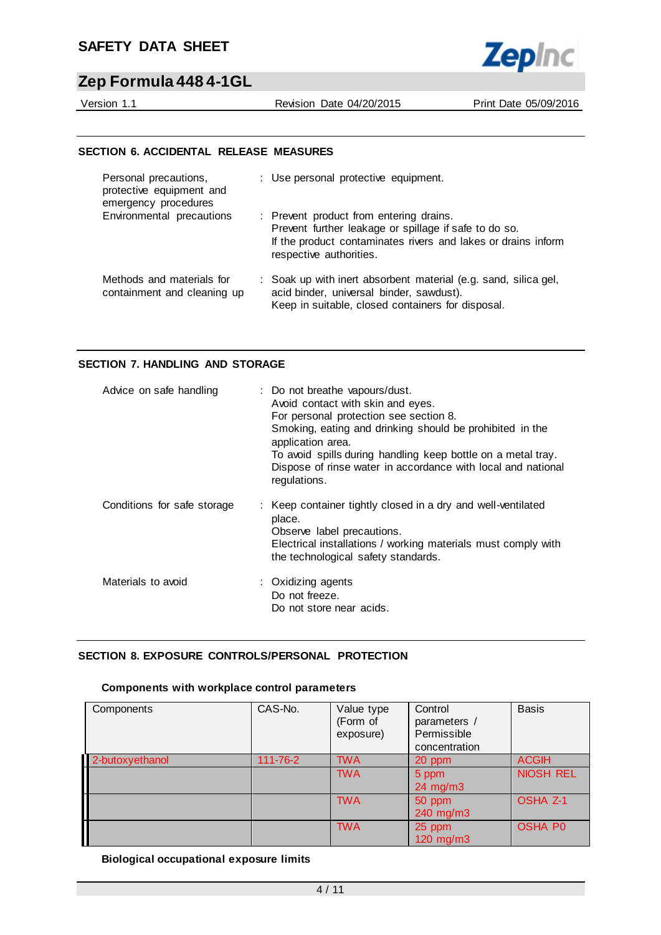

Version 1.1 Revision Date 04/20/2015 Print Date 05/09/2016

#### **SECTION 6. ACCIDENTAL RELEASE MEASURES**

| Personal precautions,<br>protective equipment and<br>emergency procedures | : Use personal protective equipment.                                                                                                                                                         |
|---------------------------------------------------------------------------|----------------------------------------------------------------------------------------------------------------------------------------------------------------------------------------------|
| Environmental precautions                                                 | : Prevent product from entering drains.<br>Prevent further leakage or spillage if safe to do so.<br>If the product contaminates rivers and lakes or drains inform<br>respective authorities. |
| Methods and materials for<br>containment and cleaning up                  | : Soak up with inert absorbent material (e.g. sand, silica gel,<br>acid binder, universal binder, sawdust).<br>Keep in suitable, closed containers for disposal.                             |

#### **SECTION 7. HANDLING AND STORAGE**

| Advice on safe handling     | : Do not breathe vapours/dust.<br>Avoid contact with skin and eyes.<br>For personal protection see section 8.<br>Smoking, eating and drinking should be prohibited in the<br>application area.<br>To avoid spills during handling keep bottle on a metal tray.<br>Dispose of rinse water in accordance with local and national<br>regulations. |
|-----------------------------|------------------------------------------------------------------------------------------------------------------------------------------------------------------------------------------------------------------------------------------------------------------------------------------------------------------------------------------------|
| Conditions for safe storage | : Keep container tightly closed in a dry and well-ventilated<br>place.<br>Observe label precautions.<br>Electrical installations / working materials must comply with<br>the technological safety standards.                                                                                                                                   |
| Materials to avoid          | : Oxidizing agents<br>Do not freeze.<br>Do not store near acids.                                                                                                                                                                                                                                                                               |

## **SECTION 8. EXPOSURE CONTROLS/PERSONAL PROTECTION**

## **Components with workplace control parameters**

| Components      | CAS-No.  | Value type<br>(Form of<br>exposure) | Control<br>parameters /<br>Permissible<br>concentration | <b>Basis</b>     |
|-----------------|----------|-------------------------------------|---------------------------------------------------------|------------------|
| 2-butoxyethanol | 111-76-2 | <b>TWA</b>                          | 20 ppm                                                  | <b>ACGIH</b>     |
|                 |          | <b>TWA</b>                          | 5 ppm                                                   | <b>NIOSH REL</b> |
|                 |          |                                     | $24 \text{ mg/m}$                                       |                  |
|                 |          | <b>TWA</b>                          | 50 ppm                                                  | <b>OSHA Z-1</b>  |
|                 |          |                                     | 240 mg/m3                                               |                  |
|                 |          | <b>TWA</b>                          | 25 ppm<br>120 mg/m3                                     | <b>OSHA PO</b>   |

#### **Biological occupational exposure limits**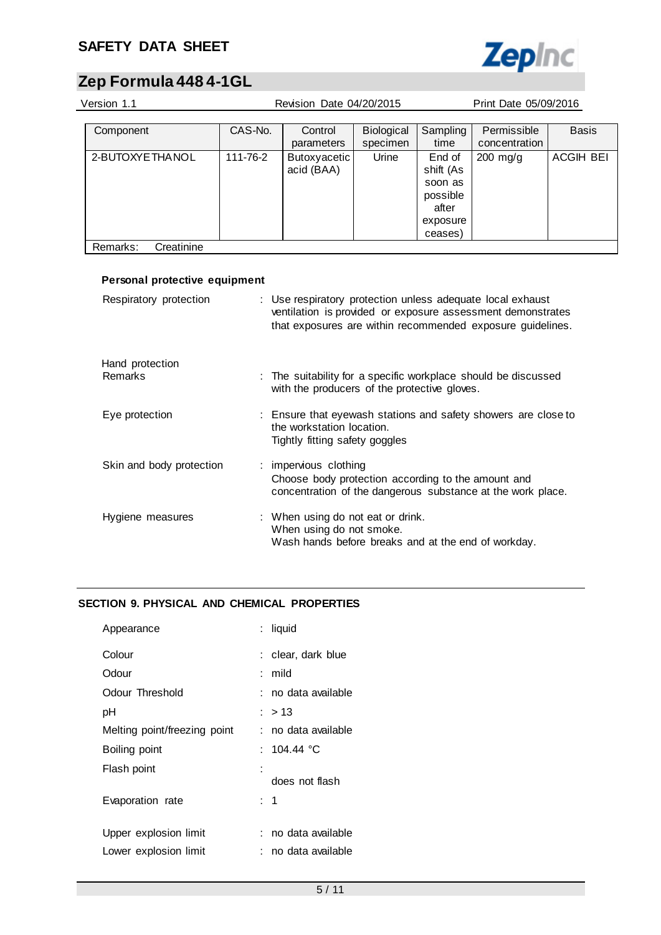

# **Zep Formula 448 4-1GL**

| Version 1.1            |          | Revision Date 04/20/2015   | Print Date 05/09/2016         |                                                                            |                              |                  |
|------------------------|----------|----------------------------|-------------------------------|----------------------------------------------------------------------------|------------------------------|------------------|
| Component              | CAS-No.  | Control<br>parameters      | <b>Biological</b><br>specimen | Sampling<br>time                                                           | Permissible<br>concentration | <b>Basis</b>     |
| 2-BUTOXYE THANOL       | 111-76-2 | Butoxyacetic<br>acid (BAA) | Urine                         | End of<br>shift (As<br>soon as<br>possible<br>after<br>exposure<br>ceases) | $200$ mg/g                   | <b>ACGIH BEI</b> |
| Creatinine<br>Remarks: |          |                            |                               |                                                                            |                              |                  |

| Personal protective equipment |                                                                                                                                                                                         |
|-------------------------------|-----------------------------------------------------------------------------------------------------------------------------------------------------------------------------------------|
| Respiratory protection        | : Use respiratory protection unless adequate local exhaust<br>ventilation is provided or exposure assessment demonstrates<br>that exposures are within recommended exposure guidelines. |
| Hand protection               |                                                                                                                                                                                         |
| Remarks                       | : The suitability for a specific workplace should be discussed<br>with the producers of the protective gloves.                                                                          |
| Eye protection                | : Ensure that eyewash stations and safety showers are close to<br>the workstation location.<br>Tightly fitting safety goggles                                                           |
| Skin and body protection      | : impervious clothing<br>Choose body protection according to the amount and<br>concentration of the dangerous substance at the work place.                                              |
| Hygiene measures              | : When using do not eat or drink.<br>When using do not smoke.<br>Wash hands before breaks and at the end of workday.                                                                    |

## **SECTION 9. PHYSICAL AND CHEMICAL PROPERTIES**

| Appearance                   | : liquid            |
|------------------------------|---------------------|
| Colour                       | : clear, dark blue  |
| Odour                        | : mild              |
| Odour Threshold              | : no data available |
| рH                           | $:$ > 13            |
| Melting point/freezing point | : no data available |
| Boiling point                | : 104.44 °C         |
| Flash point                  |                     |
|                              | does not flash      |
| Evaporation rate             | : 1                 |
| Upper explosion limit        | : no data available |
| Lower explosion limit        | no data available   |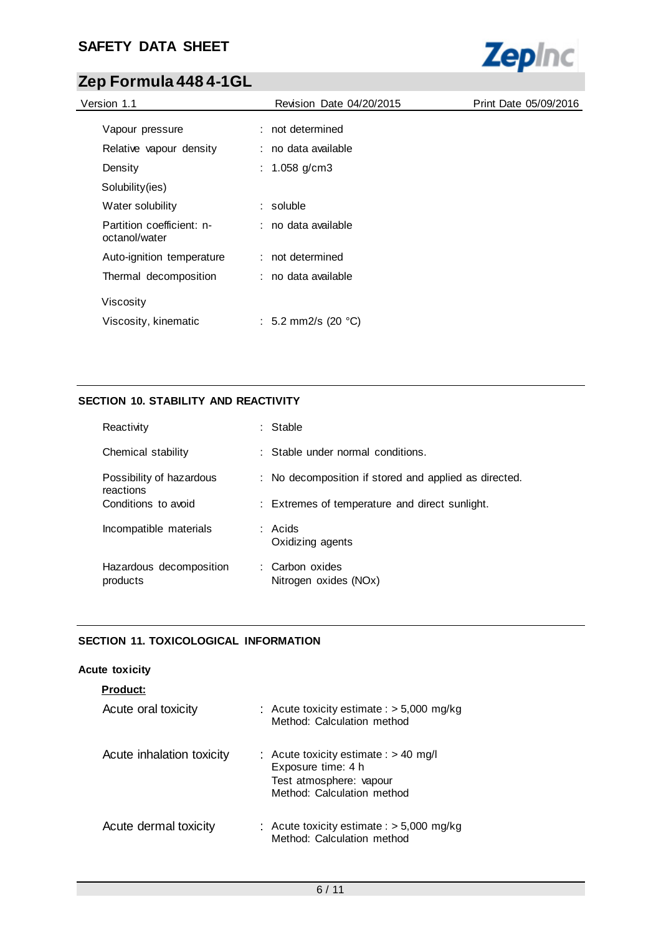

# **Zep Formula 448 4-1GL**

| Version 1.1                                | <b>Revision Date 04/20/2015</b> | Print Date 05/09/2016 |
|--------------------------------------------|---------------------------------|-----------------------|
| Vapour pressure                            | : not determined                |                       |
| Relative vapour density                    | : no data available             |                       |
| Density                                    | : 1.058 g/cm3                   |                       |
| Solubility (ies)                           |                                 |                       |
| Water solubility                           | $:$ soluble                     |                       |
| Partition coefficient: n-<br>octanol/water | : no data available             |                       |
| Auto-ignition temperature                  | : not determined                |                       |
| Thermal decomposition                      | : no data available             |                       |
| Viscosity                                  |                                 |                       |
| Viscosity, kinematic                       | : 5.2 mm2/s (20 $^{\circ}$ C)   |                       |

## **SECTION 10. STABILITY AND REACTIVITY**

| Reactivity                            | : Stable                                              |
|---------------------------------------|-------------------------------------------------------|
| Chemical stability                    | $\therefore$ Stable under normal conditions.          |
| Possibility of hazardous<br>reactions | : No decomposition if stored and applied as directed. |
| Conditions to avoid                   | : Extremes of temperature and direct sunlight.        |
| Incompatible materials                | : Acids<br>Oxidizing agents                           |
| Hazardous decomposition<br>products   | : Carbon oxides<br>Nitrogen oxides (NOx)              |

## **SECTION 11. TOXICOLOGICAL INFORMATION**

## **Acute toxicity**

| <b>Product:</b>           |                                                                                                                        |
|---------------------------|------------------------------------------------------------------------------------------------------------------------|
| Acute oral toxicity       | : Acute toxicity estimate : $> 5,000$ mg/kg<br>Method: Calculation method                                              |
| Acute inhalation toxicity | : Acute toxicity estimate : $> 40$ mg/l<br>Exposure time: 4 h<br>Test atmosphere: vapour<br>Method: Calculation method |
| Acute dermal toxicity     | : Acute toxicity estimate : $>$ 5,000 mg/kg<br>Method: Calculation method                                              |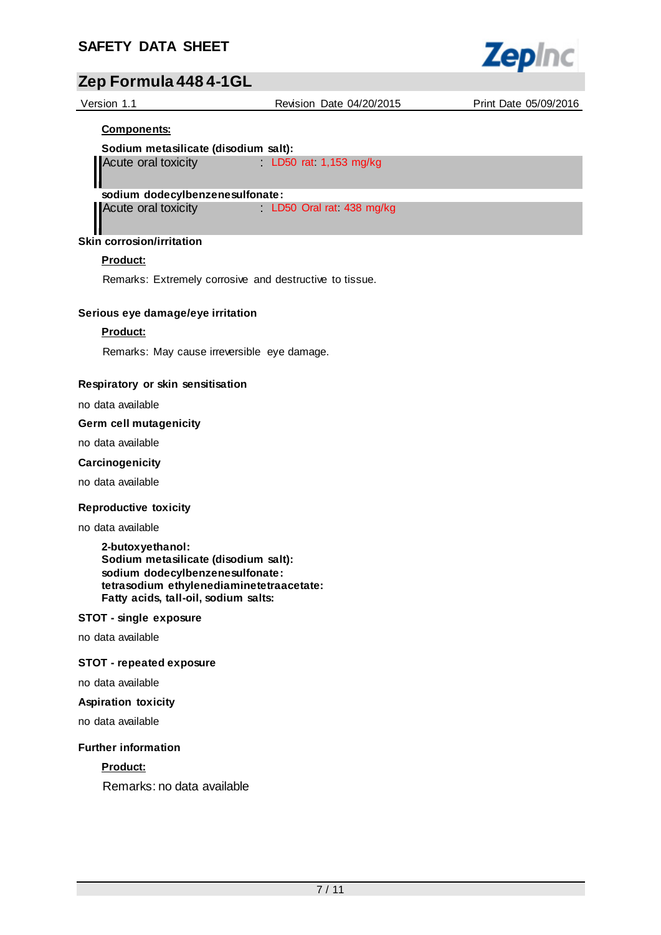

| Version 1.1                          | Revision Date 04/20/2015 | Print Date 05/09/2016 |
|--------------------------------------|--------------------------|-----------------------|
| <b>Components:</b>                   |                          |                       |
| Sodium metasilicate (disodium salt): |                          |                       |
| Acute oral toxicity                  | LD50 rat $1,153$ mg/kg   |                       |
| sodium dodecylbenzenesulfonate:      |                          |                       |
| Acute oral toxicity                  | LD50 Oral rat 438 mg/kg  |                       |

#### и **Skin corrosion/irritation**

## **Product:**

Remarks: Extremely corrosive and destructive to tissue.

#### **Serious eye damage/eye irritation**

## **Product:**

Remarks: May cause irreversible eye damage.

## **Respiratory or skin sensitisation**

no data available

#### **Germ cell mutagenicity**

no data available

## **Carcinogenicity**

no data available

#### **Reproductive toxicity**

no data available

**2-butoxyethanol: Sodium metasilicate (disodium salt): sodium dodecylbenzenesulfonate: tetrasodium ethylenediaminetetraacetate: Fatty acids, tall-oil, sodium salts:**

#### **STOT - single exposure**

no data available

## **STOT - repeated exposure**

no data available

#### **Aspiration toxicity**

no data available

#### **Further information**

## **Product:**

Remarks: no data available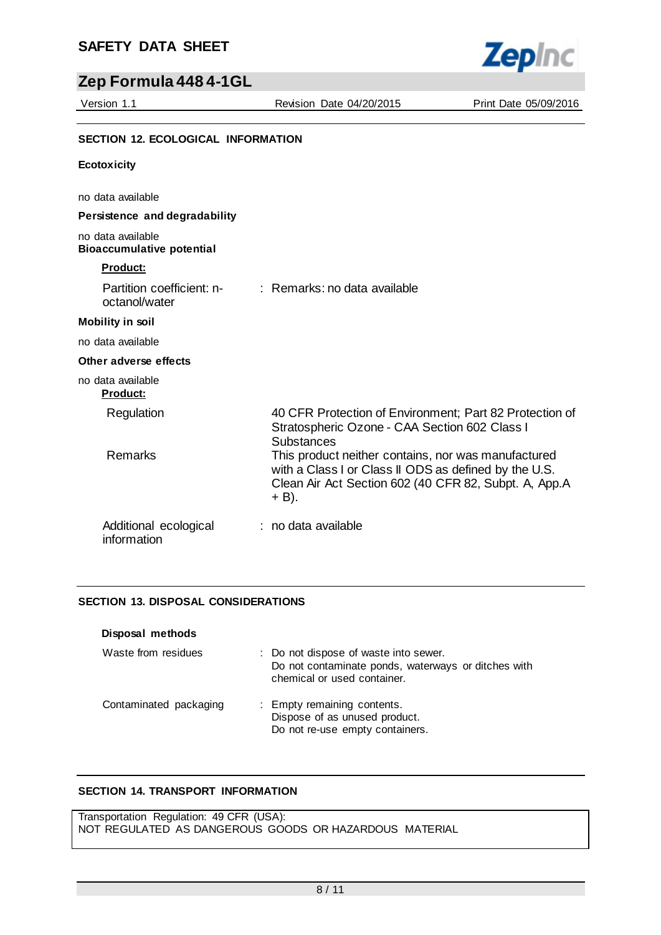

# **Zep Formula 448 4-1GL**

Version 1.1 Revision Date 04/20/2015 Print Date 05/09/2016

## **SECTION 12. ECOLOGICAL INFORMATION**

#### **Ecotoxicity**

no data available

#### **Persistence and degradability**

#### no data available **Bioaccumulative potential**

# **Product:**

| Product:                             |                                                                                                                                                                                |
|--------------------------------------|--------------------------------------------------------------------------------------------------------------------------------------------------------------------------------|
| octanol/water                        | Partition coefficient: n- : Remarks: no data available                                                                                                                         |
| <b>Mobility in soil</b>              |                                                                                                                                                                                |
| no data available                    |                                                                                                                                                                                |
| Other adverse effects                |                                                                                                                                                                                |
| no data available<br><b>Product:</b> |                                                                                                                                                                                |
| Regulation                           | 40 CFR Protection of Environment; Part 82 Protection of<br>Stratospheric Ozone - CAA Section 602 Class I<br>Substances                                                         |
| <b>Remarks</b>                       | This product neither contains, nor was manufactured<br>with a Class I or Class II ODS as defined by the U.S.<br>Clean Air Act Section 602 (40 CFR 82, Subpt. A, App.A<br>+ B). |
| Additional ecological<br>information | : no data available                                                                                                                                                            |

## **SECTION 13. DISPOSAL CONSIDERATIONS**

| Disposal methods       |                                                                                                                             |
|------------------------|-----------------------------------------------------------------------------------------------------------------------------|
| Waste from residues    | : Do not dispose of waste into sewer.<br>Do not contaminate ponds, waterways or ditches with<br>chemical or used container. |
| Contaminated packaging | : Empty remaining contents.<br>Dispose of as unused product.<br>Do not re-use empty containers.                             |

## **SECTION 14. TRANSPORT INFORMATION**

Transportation Regulation: 49 CFR (USA): NOT REGULATED AS DANGEROUS GOODS OR HAZARDOUS MATERIAL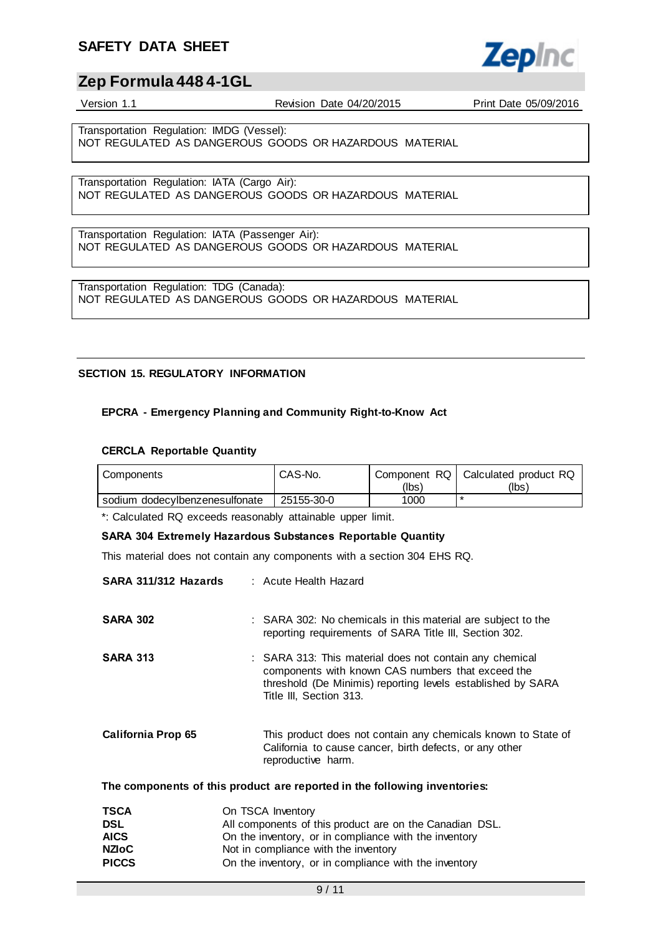

## **Zep Formula 448 4-1GL**

Version 1.1 Revision Date 04/20/2015 Print Date 05/09/2016

Transportation Regulation: IMDG (Vessel): NOT REGULATED AS DANGEROUS GOODS OR HAZARDOUS MATERIAL

Transportation Regulation: IATA (Cargo Air): NOT REGULATED AS DANGEROUS GOODS OR HAZARDOUS MATERIAL

Transportation Regulation: IATA (Passenger Air): NOT REGULATED AS DANGEROUS GOODS OR HAZARDOUS MATERIAL

Transportation Regulation: TDG (Canada): NOT REGULATED AS DANGEROUS GOODS OR HAZARDOUS MATERIAL

## **SECTION 15. REGULATORY INFORMATION**

## **EPCRA - Emergency Planning and Community Right-to-Know Act**

## **CERCLA Reportable Quantity**

| Components                     | CAS-No.    | (lbs) | Component RQ   Calculated product RQ<br>(Ibs) |
|--------------------------------|------------|-------|-----------------------------------------------|
| sodium dodecylbenzenesulfonate | 25155-30-0 | 1000  |                                               |

\*: Calculated RQ exceeds reasonably attainable upper limit.

#### **SARA 304 Extremely Hazardous Substances Reportable Quantity**

This material does not contain any components with a section 304 EHS RQ.

| SARA 311/312 Hazards      | : Acute Health Hazard                                                                                                                                                                                  |
|---------------------------|--------------------------------------------------------------------------------------------------------------------------------------------------------------------------------------------------------|
| <b>SARA 302</b>           | : SARA 302: No chemicals in this material are subject to the<br>reporting requirements of SARA Title III, Section 302.                                                                                 |
| <b>SARA 313</b>           | : SARA 313: This material does not contain any chemical<br>components with known CAS numbers that exceed the<br>threshold (De Minimis) reporting levels established by SARA<br>Title III, Section 313. |
| <b>California Prop 65</b> | This product does not contain any chemicals known to State of<br>California to cause cancer, birth defects, or any other<br>reproductive harm.                                                         |
|                           | The components of this product are reported in the following inventories:                                                                                                                              |

| <b>TSCA</b>  | On TSCA Inventory                                       |
|--------------|---------------------------------------------------------|
| DSL          | All components of this product are on the Canadian DSL. |
| <b>AICS</b>  | On the inventory, or in compliance with the inventory   |
| <b>NZIoC</b> | Not in compliance with the inventory                    |
| <b>PICCS</b> | On the inventory, or in compliance with the inventory   |
|              |                                                         |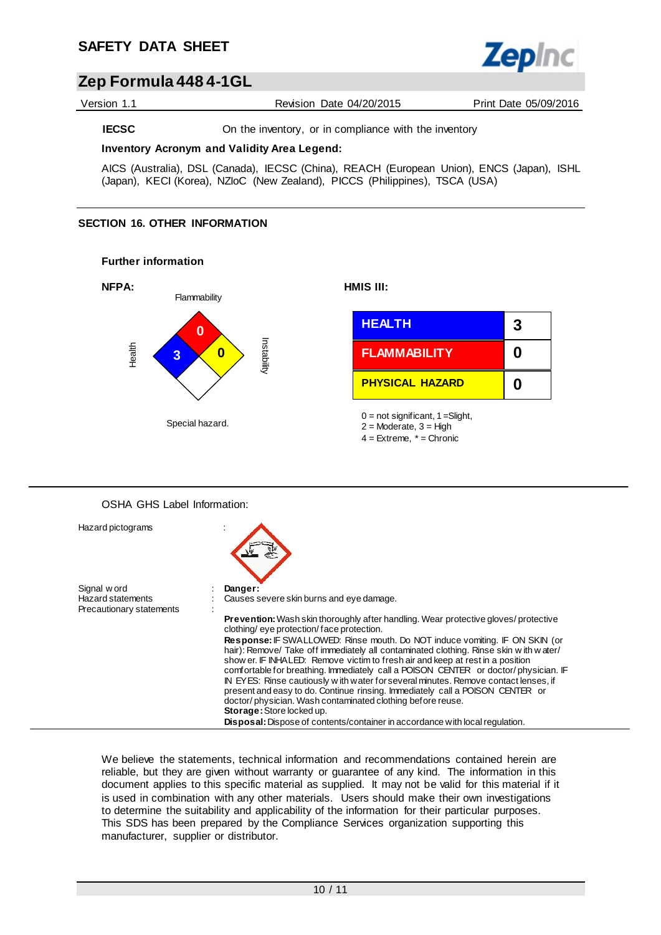

## **Zep Formula 448 4-1GL**

Version 1.1 Revision Date 04/20/2015 Print Date 05/09/2016

**IECSC** On the inventory, or in compliance with the inventory

#### **Inventory Acronym and Validity Area Legend:**

AICS (Australia), DSL (Canada), IECSC (China), REACH (European Union), ENCS (Japan), ISHL (Japan), KECI (Korea), NZIoC (New Zealand), PICCS (Philippines), TSCA (USA)

## **SECTION 16. OTHER INFORMATION**

#### **Further information**



## OSHA GHS Label Information:



We believe the statements, technical information and recommendations contained herein are reliable, but they are given without warranty or guarantee of any kind. The information in this document applies to this specific material as supplied. It may not be valid for this material if it is used in combination with any other materials. Users should make their own investigations to determine the suitability and applicability of the information for their particular purposes. This SDS has been prepared by the Compliance Services organization supporting this manufacturer, supplier or distributor.